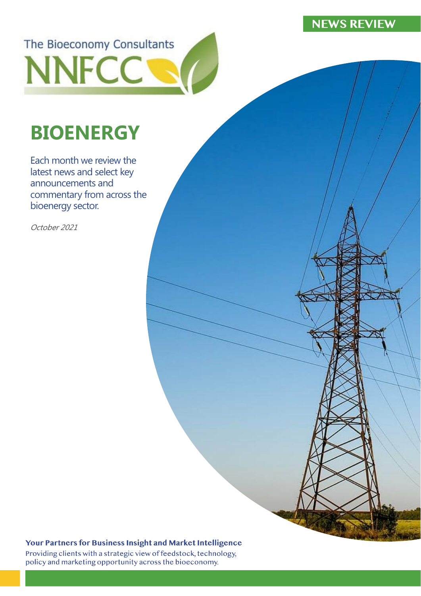# **NEWS REVIEW**

The Bioeconomy Consultants **NNFCC** 

# **BIOENERGY**

Each month we review the latest news and select key announcements and commentary from across the bioenergy sector.

October 2021

#### Your Partners for Business Insight and Market Intelligence

Providing clients with a strategic view of feedstock, technology, policy and marketing opportunity across the bioeconomy.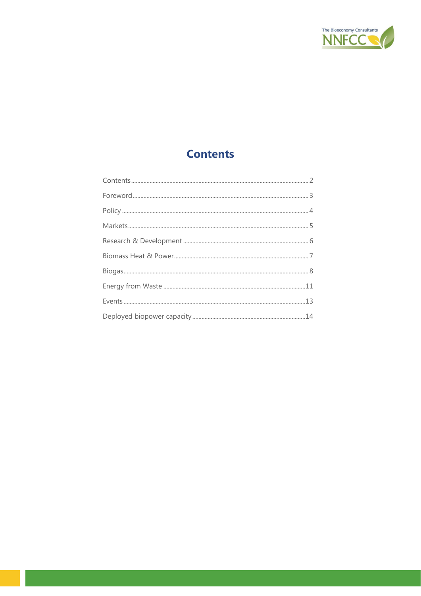

# **Contents**

<span id="page-1-0"></span>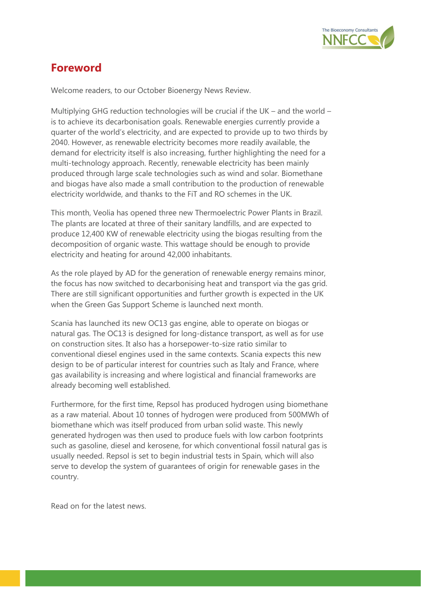

# <span id="page-2-0"></span>**Foreword**

Welcome readers, to our October Bioenergy News Review.

Multiplying GHG reduction technologies will be crucial if the UK – and the world – is to achieve its decarbonisation goals. Renewable energies currently provide a quarter of the world's electricity, and are expected to provide up to two thirds by 2040. However, as renewable electricity becomes more readily available, the demand for electricity itself is also increasing, further highlighting the need for a multi-technology approach. Recently, renewable electricity has been mainly produced through large scale technologies such as wind and solar. Biomethane and biogas have also made a small contribution to the production of renewable electricity worldwide, and thanks to the FiT and RO schemes in the UK.

This month, Veolia has opened three new Thermoelectric Power Plants in Brazil. The plants are located at three of their sanitary landfills, and are expected to produce 12,400 KW of renewable electricity using the biogas resulting from the decomposition of organic waste. This wattage should be enough to provide electricity and heating for around 42,000 inhabitants.

As the role played by AD for the generation of renewable energy remains minor, the focus has now switched to decarbonising heat and transport via the gas grid. There are still significant opportunities and further growth is expected in the UK when the Green Gas Support Scheme is launched next month.

Scania has launched its new OC13 gas engine, able to operate on biogas or natural gas. The OC13 is designed for long-distance transport, as well as for use on construction sites. It also has a horsepower-to-size ratio similar to conventional diesel engines used in the same contexts. Scania expects this new design to be of particular interest for countries such as Italy and France, where gas availability is increasing and where logistical and financial frameworks are already becoming well established.

Furthermore, for the first time, Repsol has produced hydrogen using biomethane as a raw material. About 10 tonnes of hydrogen were produced from 500MWh of biomethane which was itself produced from urban solid waste. This newly generated hydrogen was then used to produce fuels with low carbon footprints such as gasoline, diesel and kerosene, for which conventional fossil natural gas is usually needed. Repsol is set to begin industrial tests in Spain, which will also serve to develop the system of guarantees of origin for renewable gases in the country.

Read on for the latest news.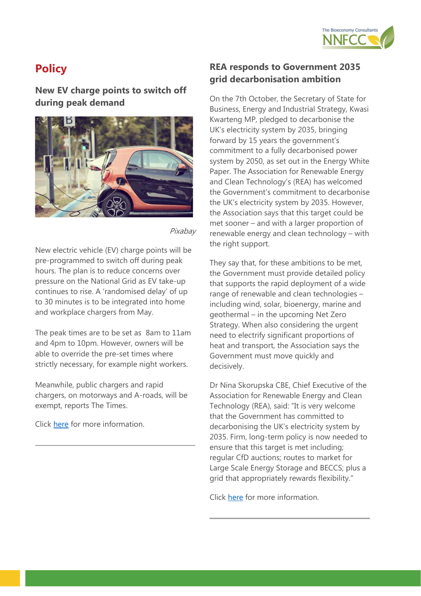

# <span id="page-3-0"></span>**Policy**

**New EV charge points to switch off during peak demand**



Pixabay

New electric vehicle (EV) charge points will be pre-programmed to switch off during peak hours. The plan is to reduce concerns over pressure on the National Grid as EV take-up continues to rise. A 'randomised delay' of up to 30 minutes is to be integrated into home and workplace chargers from May.

The peak times are to be set as 8am to 11am and 4pm to 10pm. However, owners will be able to override the pre-set times where strictly necessary, for example night workers.

Meanwhile, public chargers and rapid chargers, on motorways and A-roads, will be exempt, reports The Times.

Click [here](https://www.intelligentinstructor.co.uk/ev-chargers-to-switch-off-at-peak-times/) for more information.

#### **REA responds to Government 2035 grid decarbonisation ambition**

On the 7th October, the Secretary of State for Business, Energy and Industrial Strategy, Kwasi Kwarteng MP, pledged to decarbonise the UK's electricity system by 2035, bringing forward by 15 years the government's commitment to a fully decarbonised power system by 2050, as set out in the Energy White Paper. The Association for Renewable Energy and Clean Technology's (REA) has welcomed the Government's commitment to decarbonise the UK's electricity system by 2035. However, the Association says that this target could be met sooner – and with a larger proportion of renewable energy and clean technology – with the right support.

They say that, for these ambitions to be met, the Government must provide detailed policy that supports the rapid deployment of a wide range of renewable and clean technologies – including wind, solar, bioenergy, marine and geothermal – in the upcoming Net Zero Strategy. When also considering the urgent need to electrify significant proportions of heat and transport, the Association says the Government must move quickly and decisively.

Dr Nina Skorupska CBE, Chief Executive of the Association for Renewable Energy and Clean Technology (REA), said: "It is very welcome that the Government has committed to decarbonising the UK's electricity system by 2035. Firm, long-term policy is now needed to ensure that this target is met including; regular CfD auctions; routes to market for Large Scale Energy Storage and BECCS; plus a grid that appropriately rewards flexibility."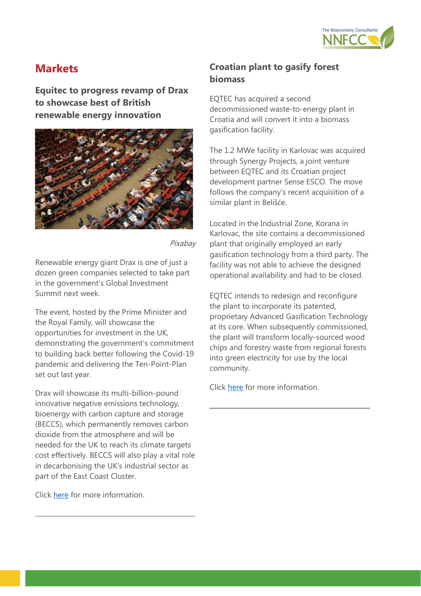

## <span id="page-4-0"></span>**Markets**

**Equitec to progress revamp of Drax to showcase best of British renewable energy innovation**



Pixabay

Renewable energy giant Drax is one of just a dozen green companies selected to take part in the government's Global Investment Summit next week.

The event, hosted by the Prime Minister and the Royal Family, will showcase the opportunities for investment in the UK, demonstrating the government's commitment to building back better following the Covid-19 pandemic and delivering the Ten-Point-Plan set out last year.

Drax will showcase its multi-billion-pound innovative negative emissions technology, bioenergy with carbon capture and storage (BECCS), which permanently removes carbon dioxide from the atmosphere and will be needed for the UK to reach its climate targets cost effectively. BECCS will also play a vital role in decarbonising the UK's industrial sector as part of the East Coast Cluster.

Click [here](https://www.drax.com/press_release/drax-to-showcase-best-of-british-renewable-energy-innovation-to-global-investors/) for more information.

## **Croatian plant to gasify forest biomass**

EQTEC has acquired a second decommissioned waste-to-energy plant in Croatia and will convert it into a biomass gasification facility.

The 1.2 MWe facility in Karlovac was acquired through Synergy Projects, a joint venture between EQTEC and its Croatian project development partner Sense ESCO. The move follows the company's recent acquisition of a similar plant in Belišće.

Located in the Industrial Zone, Korana in Karlovac, the site contains a decommissioned plant that originally employed an early gasification technology from a third party. The facility was not able to achieve the designed operational availability and had to be closed.

EQTEC intends to redesign and reconfigure the plant to incorporate its patented, proprietary Advanced Gasification Technology at its core. When subsequently commissioned, the plant will transform locally-sourced wood chips and forestry waste from regional forests into green electricity for use by the local community.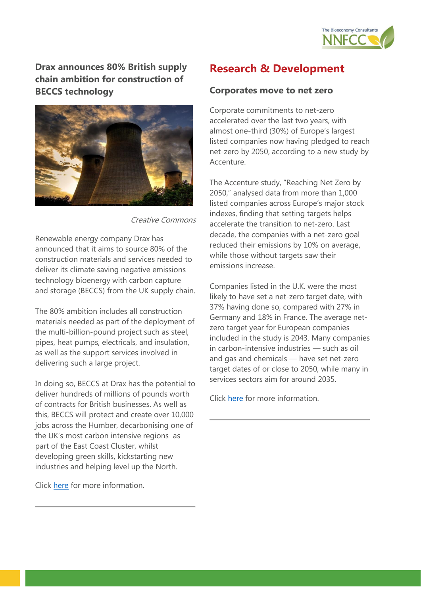

**Drax announces 80% British supply chain ambition for construction of BECCS technology**



Creative Commons

Renewable energy company Drax has announced that it aims to source 80% of the construction materials and services needed to deliver its climate saving negative emissions technology bioenergy with carbon capture and storage (BECCS) from the UK supply chain.

The 80% ambition includes all construction materials needed as part of the deployment of the multi-billion-pound project such as steel, pipes, heat pumps, electricals, and insulation, as well as the support services involved in delivering such a large project.

In doing so, BECCS at Drax has the potential to deliver hundreds of millions of pounds worth of contracts for British businesses. As well as this, BECCS will protect and create over 10,000 jobs across the Humber, decarbonising one of the UK's most carbon intensive regions as part of the East Coast Cluster, whilst developing green skills, kickstarting new industries and helping level up the North.

Click [here](https://www.drax.com/press_release/drax-announces-80-british-supply-chain-ambition-to-support-construction-of-worlds-largest-carbon-capture-project/) for more information.

## <span id="page-5-0"></span>**Research & Development**

#### **Corporates move to net zero**

Corporate commitments to net-zero accelerated over the last two years, with almost one-third (30%) of Europe's largest listed companies now having pledged to reach net-zero by 2050, according to a new study by Accenture.

The Accenture study, "Reaching Net Zero by 2050," analysed data from more than 1,000 listed companies across Europe's major stock indexes, finding that setting targets helps accelerate the transition to net-zero. Last decade, the companies with a net-zero goal reduced their emissions by 10% on average, while those without targets saw their emissions increase.

Companies listed in the U.K. were the most likely to have set a net-zero target date, with 37% having done so, compared with 27% in Germany and 18% in France. The average netzero target year for European companies included in the study is 2043. Many companies in carbon-intensive industries — such as oil and gas and chemicals — have set net-zero target dates of or close to 2050, while many in services sectors aim for around 2035.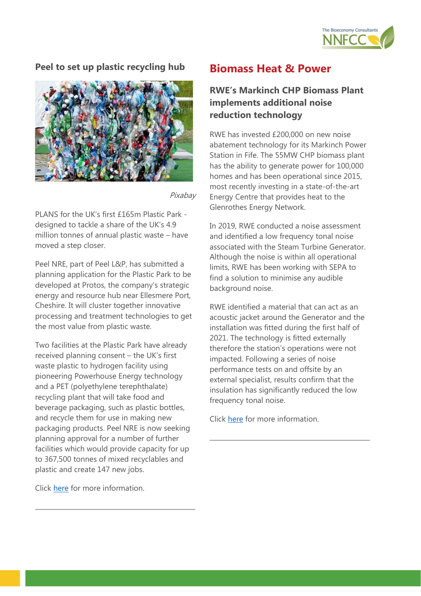

#### **Peel to set up plastic recycling hub**



Pixabay

PLANS for the UK's first £165m Plastic Park designed to tackle a share of the UK's 4.9 million tonnes of annual plastic waste – have moved a step closer.

Peel NRE, part of Peel L&P, has submitted a planning application for the Plastic Park to be developed at Protos, the company's strategic energy and resource hub near Ellesmere Port, Cheshire. It will cluster together innovative processing and treatment technologies to get the most value from plastic waste.

Two facilities at the Plastic Park have already received planning consent – the UK's first waste plastic to hydrogen facility using pioneering Powerhouse Energy technology and a PET (polyethylene terephthalate) recycling plant that will take food and beverage packaging, such as plastic bottles, and recycle them for use in making new packaging products. Peel NRE is now seeking planning approval for a number of further facilities which would provide capacity for up to 367,500 tonnes of mixed recyclables and plastic and create 147 new jobs.

Click [here](https://www.protos.co.uk/news/plans-for-uk-s-first-165m-plastic-park-submitted/) for more information.

## <span id="page-6-0"></span>**Biomass Heat & Power**

#### **RWE's Markinch CHP Biomass Plant implements additional noise reduction technology**

RWE has invested £200,000 on new noise abatement technology for its Markinch Power Station in Fife. The 55MW CHP biomass plant has the ability to generate power for 100,000 homes and has been operational since 2015, most recently investing in a state-of-the-art Energy Centre that provides heat to the Glenrothes Energy Network.

In 2019, RWE conducted a noise assessment and identified a low frequency tonal noise associated with the Steam Turbine Generator. Although the noise is within all operational limits, RWE has been working with SEPA to find a solution to minimise any audible background noise.

RWE identified a material that can act as an acoustic jacket around the Generator and the installation was fitted during the first half of 2021. The technology is fitted externally therefore the station's operations were not impacted. Following a series of noise performance tests on and offsite by an external specialist, results confirm that the insulation has significantly reduced the low frequency tonal noise.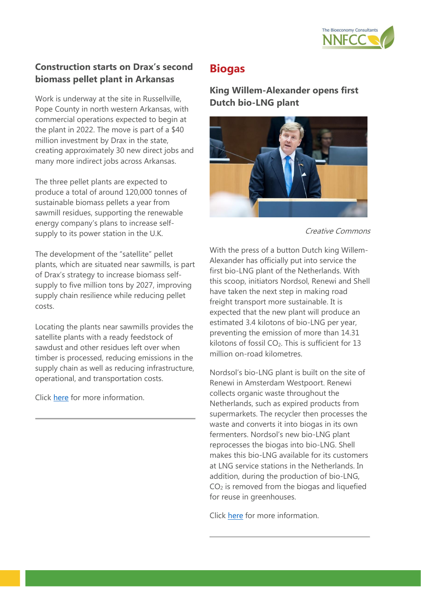

#### **Construction starts on Drax's second biomass pellet plant in Arkansas**

Work is underway at the site in Russellville, Pope County in north western Arkansas, with commercial operations expected to begin at the plant in 2022. The move is part of a \$40 million investment by Drax in the state, creating approximately 30 new direct jobs and many more indirect jobs across Arkansas.

The three pellet plants are expected to produce a total of around 120,000 tonnes of sustainable biomass pellets a year from sawmill residues, supporting the renewable energy company's plans to increase selfsupply to its power station in the U.K.

The development of the "satellite" pellet plants, which are situated near sawmills, is part of Drax's strategy to increase biomass selfsupply to five million tons by 2027, improving supply chain resilience while reducing pellet costs.

Locating the plants near sawmills provides the satellite plants with a ready feedstock of sawdust and other residues left over when timber is processed, reducing emissions in the supply chain as well as reducing infrastructure, operational, and transportation costs.

Click [here](https://www.draxbiomass.com/press_release/construction-starts-on-draxs-second-biomass-pellet-plant-in-arkansas/) for more information.

## <span id="page-7-0"></span>**Biogas**

**King Willem-Alexander opens first Dutch bio-LNG plant**



Creative Commons

With the press of a button Dutch king Willem-Alexander has officially put into service the first bio-LNG plant of the Netherlands. With this scoop, initiators Nordsol, Renewi and Shell have taken the next step in making road freight transport more sustainable. It is expected that the new plant will produce an estimated 3.4 kilotons of bio-LNG per year, preventing the emission of more than 14.31 kilotons of fossil  $CO<sub>2</sub>$ . This is sufficient for 13 million on-road kilometres.

Nordsol's bio-LNG plant is built on the site of Renewi in Amsterdam Westpoort. Renewi collects organic waste throughout the Netherlands, such as expired products from supermarkets. The recycler then processes the waste and converts it into biogas in its own fermenters. Nordsol's new bio-LNG plant reprocesses the biogas into bio-LNG. Shell makes this bio-LNG available for its customers at LNG service stations in the Netherlands. In addition, during the production of bio-LNG, CO<sup>2</sup> is removed from the biogas and liquefied for reuse in greenhouses.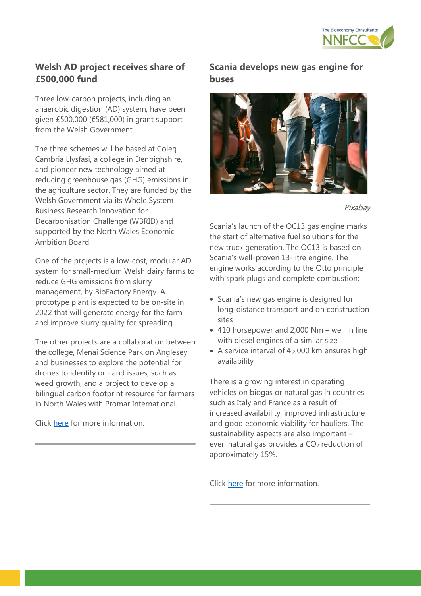

## **Welsh AD project receives share of £500,000 fund**

Three low-carbon projects, including an anaerobic digestion (AD) system, have been given £500,000 (€581,000) in grant support from the Welsh Government.

The three schemes will be based at Coleg Cambria Llysfasi, a college in Denbighshire, and pioneer new technology aimed at reducing greenhouse gas (GHG) emissions in the agriculture sector. They are funded by the Welsh Government via its Whole System Business Research Innovation for Decarbonisation Challenge (WBRID) and supported by the North Wales Economic Ambition Board.

One of the projects is a low-cost, modular AD system for small-medium Welsh dairy farms to reduce GHG emissions from slurry management, by BioFactory Energy. A prototype plant is expected to be on-site in 2022 that will generate energy for the farm and improve slurry quality for spreading.

The other projects are a collaboration between the college, Menai Science Park on Anglesey and businesses to explore the potential for drones to identify on-land issues, such as weed growth, and a project to develop a bilingual carbon footprint resource for farmers in North Wales with Promar International.

Click [here](https://www.bioenergy-news.com/news/welsh-ad-project-receives-share-of-500000-fund/) for more information.

#### **Scania develops new gas engine for buses**



Pixabay

Scania's launch of the OC13 gas engine marks the start of alternative fuel solutions for the new truck generation. The OC13 is based on Scania's well-proven 13-litre engine. The engine works according to the Otto principle with spark plugs and complete combustion:

- Scania's new gas engine is designed for long-distance transport and on construction sites
- 410 horsepower and 2,000 Nm well in line with diesel engines of a similar size
- A service interval of 45,000 km ensures high availability

There is a growing interest in operating vehicles on biogas or natural gas in countries such as Italy and France as a result of increased availability, improved infrastructure and good economic viability for hauliers. The sustainability aspects are also important – even natural gas provides a CO<sub>2</sub> reduction of approximately 15%.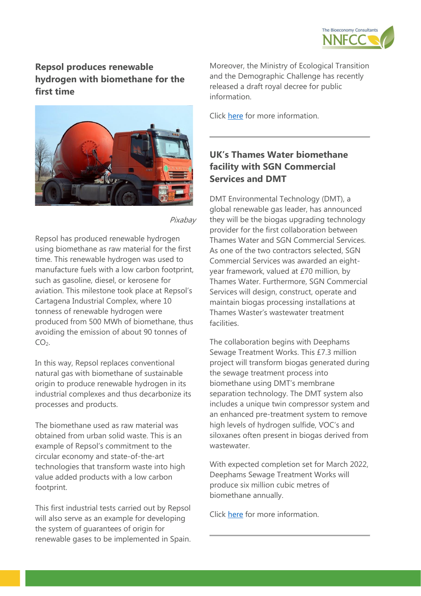

## **Repsol produces renewable hydrogen with biomethane for the first time**



Pixabay

Repsol has produced renewable hydrogen using biomethane as raw material for the first time. This renewable hydrogen was used to manufacture fuels with a low carbon footprint, such as gasoline, diesel, or kerosene for aviation. This milestone took place at Repsol's Cartagena Industrial Complex, where 10 tonness of renewable hydrogen were produced from 500 MWh of biomethane, thus avoiding the emission of about 90 tonnes of  $CO<sub>2</sub>$ .

In this way, Repsol replaces conventional natural gas with biomethane of sustainable origin to produce renewable hydrogen in its industrial complexes and thus decarbonize its processes and products.

The biomethane used as raw material was obtained from urban solid waste. This is an example of Repsol's commitment to the circular economy and state-of-the-art technologies that transform waste into high value added products with a low carbon footprint.

This first industrial tests carried out by Repsol will also serve as an example for developing the system of guarantees of origin for renewable gases to be implemented in Spain.

Moreover, the Ministry of Ecological Transition and the Demographic Challenge has recently released a draft royal decree for public information.

Click [here](https://www.repsol.com/en/press-room/press-releases/2021/repsol-produces-renewable-hydrogen-with-biomethane-for-the-first-time/index.cshtml) for more information.

## **UK's Thames Water biomethane facility with SGN Commercial Services and DMT**

DMT Environmental Technology (DMT), a global renewable gas leader, has announced they will be the biogas upgrading technology provider for the first collaboration between Thames Water and SGN Commercial Services. As one of the two contractors selected, SGN Commercial Services was awarded an eightyear framework, valued at £70 million, by Thames Water. Furthermore, SGN Commercial Services will design, construct, operate and maintain biogas processing installations at Thames Waster's wastewater treatment facilities.

The collaboration begins with Deephams Sewage Treatment Works. This £7.3 million project will transform biogas generated during the sewage treatment process into biomethane using DMT's membrane separation technology. The DMT system also includes a unique twin compressor system and an enhanced pre-treatment system to remove high levels of hydrogen sulfide, VOC's and siloxanes often present in biogas derived from wastewater.

With expected completion set for March 2022, Deephams Sewage Treatment Works will produce six million cubic metres of biomethane annually.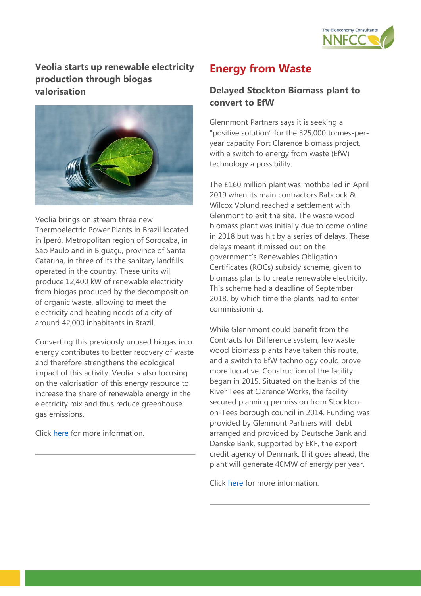

**Veolia starts up renewable electricity production through biogas valorisation**



Veolia brings on stream three new Thermoelectric Power Plants in Brazil located in Iperó, Metropolitan region of Sorocaba, in São Paulo and in Biguaçu, province of Santa Catarina, in three of its the sanitary landfills operated in the country. These units will produce 12,400 kW of renewable electricity from biogas produced by the decomposition of organic waste, allowing to meet the electricity and heating needs of a city of around 42,000 inhabitants in Brazil.

Converting this previously unused biogas into energy contributes to better recovery of waste and therefore strengthens the ecological impact of this activity. Veolia is also focusing on the valorisation of this energy resource to increase the share of renewable energy in the electricity mix and thus reduce greenhouse gas emissions.

Click [here](https://www.veolia.com/en/our-media/newsroom/press-releases/veolia-starts-renewable-electricity-production-through-biogas) for more information.

## <span id="page-10-0"></span>**Energy from Waste**

#### **Delayed Stockton Biomass plant to convert to EfW**

Glennmont Partners says it is seeking a "positive solution" for the 325,000 tonnes-peryear capacity Port Clarence biomass project, with a switch to energy from waste (EfW) technology a possibility.

The £160 million plant was mothballed in April 2019 when its main contractors Babcock & Wilcox Volund reached a settlement with Glenmont to exit the site. The waste wood biomass plant was initially due to come online in 2018 but was hit by a series of delays. These delays meant it missed out on the government's Renewables Obligation Certificates (ROCs) subsidy scheme, given to biomass plants to create renewable electricity. This scheme had a deadline of September 2018, by which time the plants had to enter commissioning.

While Glennmont could benefit from the Contracts for Difference system, few waste wood biomass plants have taken this route, and a switch to EfW technology could prove more lucrative. Construction of the facility began in 2015. Situated on the banks of the River Tees at Clarence Works, the facility secured planning permission from Stocktonon-Tees borough council in 2014. Funding was provided by Glenmont Partners with debt arranged and provided by Deutsche Bank and Danske Bank, supported by EKF, the export credit agency of Denmark. If it goes ahead, the plant will generate 40MW of energy per year.

Click [here](https://www.letsrecycle.com/news/port-clarence-switch-to-efw-under-consideration/) for more information.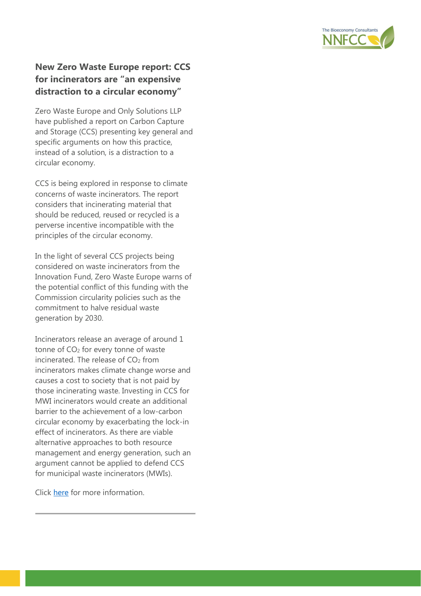

#### **New Zero Waste Europe report: CCS for incinerators are "an expensive distraction to a circular economy"**

Zero Waste Europe and Only Solutions LLP have published a report on Carbon Capture and Storage (CCS) presenting key general and specific arguments on how this practice, instead of a solution, is a distraction to a circular economy.

CCS is being explored in response to climate concerns of waste incinerators. The report considers that incinerating material that should be reduced, reused or recycled is a perverse incentive incompatible with the principles of the circular economy.

In the light of several CCS projects being considered on waste incinerators from the Innovation Fund, Zero Waste Europe warns of the potential conflict of this funding with the Commission circularity policies such as the commitment to halve residual waste generation by 2030.

Incinerators release an average of around 1 tonne of  $CO<sub>2</sub>$  for every tonne of waste incinerated. The release of  $CO<sub>2</sub>$  from incinerators makes climate change worse and causes a cost to society that is not paid by those incinerating waste. Investing in CCS for MWI incinerators would create an additional barrier to the achievement of a low-carbon circular economy by exacerbating the lock-in effect of incinerators. As there are viable alternative approaches to both resource management and energy generation, such an argument cannot be applied to defend CCS for municipal waste incinerators (MWIs).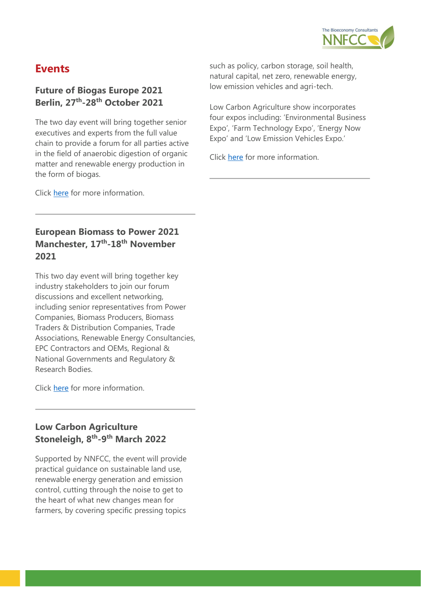

## <span id="page-12-0"></span>**Events**

#### **Future of Biogas Europe 2021 Berlin, 27th -28th October 2021**

The two day event will bring together senior executives and experts from the full value chain to provide a forum for all parties active in the field of anaerobic digestion of organic matter and renewable energy production in the form of biogas.

such as policy, carbon storage, soil health, natural capital, net zero, renewable energy, low emission vehicles and agri-tech.

Low Carbon Agriculture show incorporates four expos including: 'Environmental Business Expo', 'Farm Technology Expo', 'Energy Now Expo' and 'Low Emission Vehicles Expo.'

Click [here](https://lowcarbonagricultureshow.co.uk/) for more information.

Click [here](https://www.wplgroup.com/aci/event/future-biogas-europe/) for more information.

## **European Biomass to Power 2021 Manchester, 17th -18th November 2021**

This two day event will bring together key industry stakeholders to join our forum discussions and excellent networking, including senior representatives from Power Companies, Biomass Producers, Biomass Traders & Distribution Companies, Trade Associations, Renewable Energy Consultancies, EPC Contractors and OEMs, Regional & National Governments and Regulatory & Research Bodies.

Click [here](https://www.wplgroup.com/aci/event/european-biomass-to-power/) for more information.

#### **Low Carbon Agriculture Stoneleigh, 8th -9 th March 2022**

Supported by NNFCC, the event will provide practical guidance on sustainable land use, renewable energy generation and emission control, cutting through the noise to get to the heart of what new changes mean for farmers, by covering specific pressing topics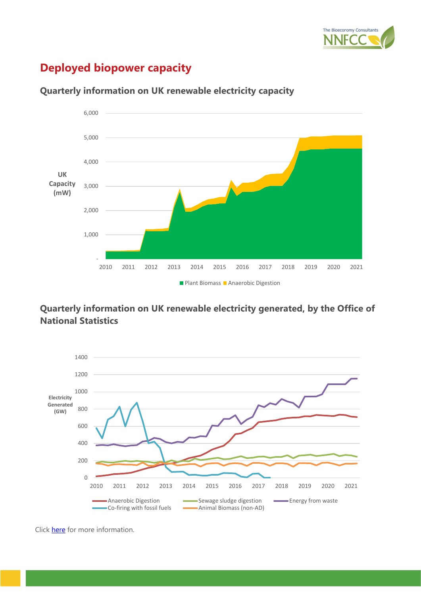

# <span id="page-13-0"></span>**Deployed biopower capacity**



#### **Quarterly information on UK renewable electricity capacity**

#### **Quarterly information on UK renewable electricity generated, by the Office of National Statistics**



Click [here](https://www.gov.uk/government/statistics/energy-trends-section-6-renewables) for more information.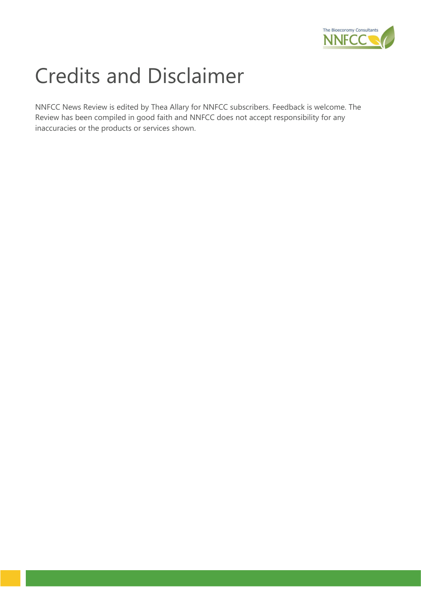

# Credits and Disclaimer

NNFCC News Review is edited by Thea Allary for NNFCC subscribers. Feedback is welcome. The Review has been compiled in good faith and NNFCC does not accept responsibility for any inaccuracies or the products or services shown.